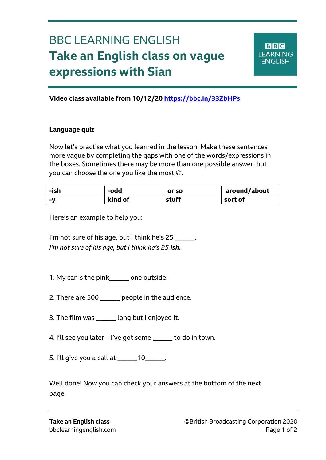## BBC LEARNING ENGLISH **Take an English class on vague expressions with Sian**



**Video class available from 10/12/20 <https://bbc.in/33ZbHPs>**

## **Language quiz**

Ξ

Now let's practise what you learned in the lesson! Make these sentences more vague by completing the gaps with one of the words/expressions in the boxes. Sometimes there may be more than one possible answer, but you can choose the one you like the most  $\odot$ .

| -ish | -odd    | or so | around/about |
|------|---------|-------|--------------|
| $-V$ | kind of | stuff | sort of      |

Here's an example to help you:

I'm not sure of his age, but I think he's 25 \_\_\_\_\_\_. *I'm not sure of his age, but I think he's 25 ish.*

1. My car is the pink\_\_\_\_\_\_ one outside.

- 2. There are 500 \_\_\_\_\_\_ people in the audience.
- 3. The film was \_\_\_\_\_\_ long but I enjoyed it.
- 4. I'll see you later I've got some \_\_\_\_\_\_ to do in town.
- 5. I'll give you a call at \_\_\_\_\_\_10\_\_\_\_\_\_.

Well done! Now you can check your answers at the bottom of the next page.